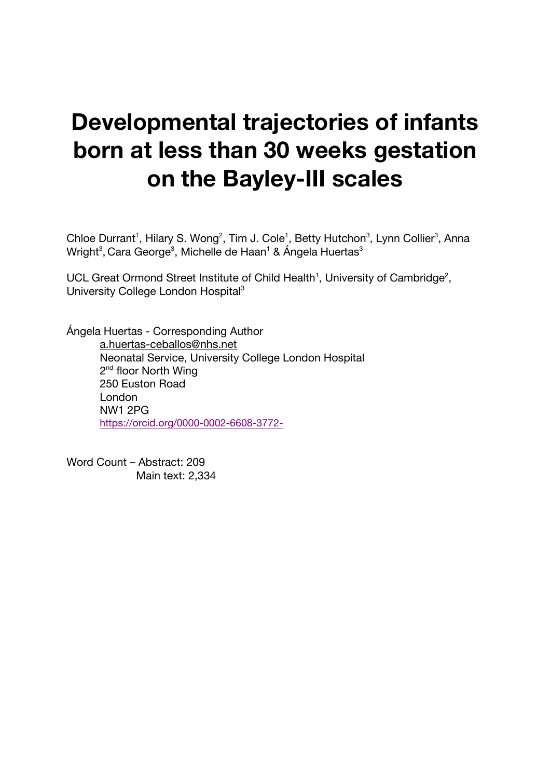# **Developmental trajectories of infants born at less than 30 weeks gestation on the Bayley-III scales**

Chloe Durrant<sup>1</sup>, Hilary S. Wong<sup>2</sup>, Tim J. Cole<sup>1</sup>, Betty Hutchon<sup>3</sup>, Lynn Collier<sup>3</sup>, Anna Wright $^3$ , Cara George $^3$ , Michelle de Haan $^1$  & Ángela Huertas $^3$ 

UCL Great Ormond Street Institute of Child Health<sup>1</sup>, University of Cambridge<sup>2</sup>, University College London Hospital<sup>3</sup>

Ángela Huertas - Corresponding Author a.huertas-ceballos@nhs.net Neonatal Service, University College London Hospital 2<sup>nd</sup> floor North Wing 250 Euston Road London NW1 2PG https://orcid.org/0000-0002-6608-3772-

Word Count – Abstract: 209 Main text: 2,334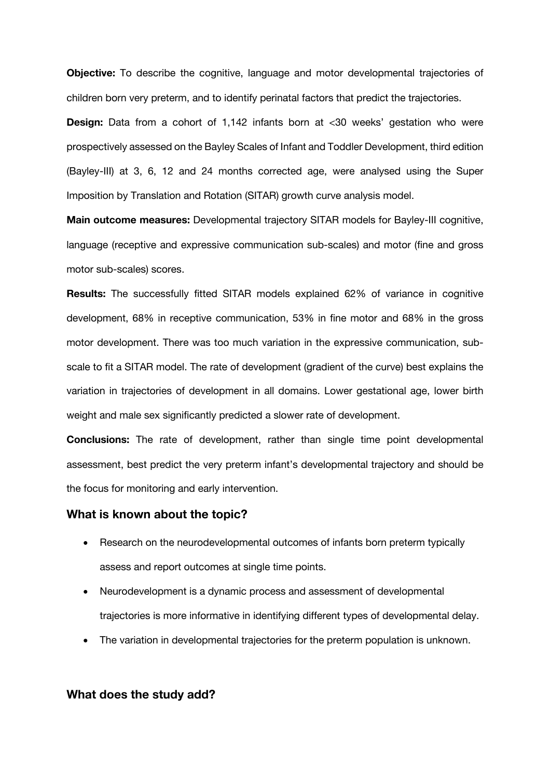**Objective:** To describe the cognitive, language and motor developmental trajectories of children born very preterm, and to identify perinatal factors that predict the trajectories.

**Design:** Data from a cohort of 1,142 infants born at <30 weeks' gestation who were prospectively assessed on the Bayley Scales of Infant and Toddler Development, third edition (Bayley-III) at 3, 6, 12 and 24 months corrected age, were analysed using the Super Imposition by Translation and Rotation (SITAR) growth curve analysis model.

**Main outcome measures:** Developmental trajectory SITAR models for Bayley-III cognitive, language (receptive and expressive communication sub-scales) and motor (fine and gross motor sub-scales) scores.

**Results:** The successfully fitted SITAR models explained 62% of variance in cognitive development, 68% in receptive communication, 53% in fine motor and 68% in the gross motor development. There was too much variation in the expressive communication, subscale to fit a SITAR model. The rate of development (gradient of the curve) best explains the variation in trajectories of development in all domains. Lower gestational age, lower birth weight and male sex significantly predicted a slower rate of development.

**Conclusions:** The rate of development, rather than single time point developmental assessment, best predict the very preterm infant's developmental trajectory and should be the focus for monitoring and early intervention.

#### **What is known about the topic?**

- Research on the neurodevelopmental outcomes of infants born preterm typically assess and report outcomes at single time points.
- Neurodevelopment is a dynamic process and assessment of developmental trajectories is more informative in identifying different types of developmental delay.
- The variation in developmental trajectories for the preterm population is unknown.

#### **What does the study add?**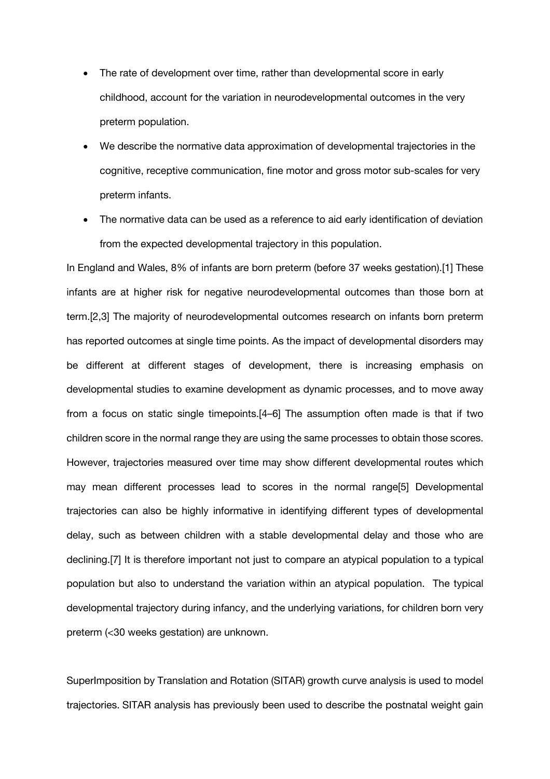- The rate of development over time, rather than developmental score in early childhood, account for the variation in neurodevelopmental outcomes in the very preterm population.
- We describe the normative data approximation of developmental trajectories in the cognitive, receptive communication, fine motor and gross motor sub-scales for very preterm infants.
- The normative data can be used as a reference to aid early identification of deviation from the expected developmental trajectory in this population.

In England and Wales, 8% of infants are born preterm (before 37 weeks gestation).[1] These infants are at higher risk for negative neurodevelopmental outcomes than those born at term.[2,3] The majority of neurodevelopmental outcomes research on infants born preterm has reported outcomes at single time points. As the impact of developmental disorders may be different at different stages of development, there is increasing emphasis on developmental studies to examine development as dynamic processes, and to move away from a focus on static single timepoints.[4–6] The assumption often made is that if two children score in the normal range they are using the same processes to obtain those scores. However, trajectories measured over time may show different developmental routes which may mean different processes lead to scores in the normal range[5] Developmental trajectories can also be highly informative in identifying different types of developmental delay, such as between children with a stable developmental delay and those who are declining.[7] It is therefore important not just to compare an atypical population to a typical population but also to understand the variation within an atypical population. The typical developmental trajectory during infancy, and the underlying variations, for children born very preterm (<30 weeks gestation) are unknown.

SuperImposition by Translation and Rotation (SITAR) growth curve analysis is used to model trajectories. SITAR analysis has previously been used to describe the postnatal weight gain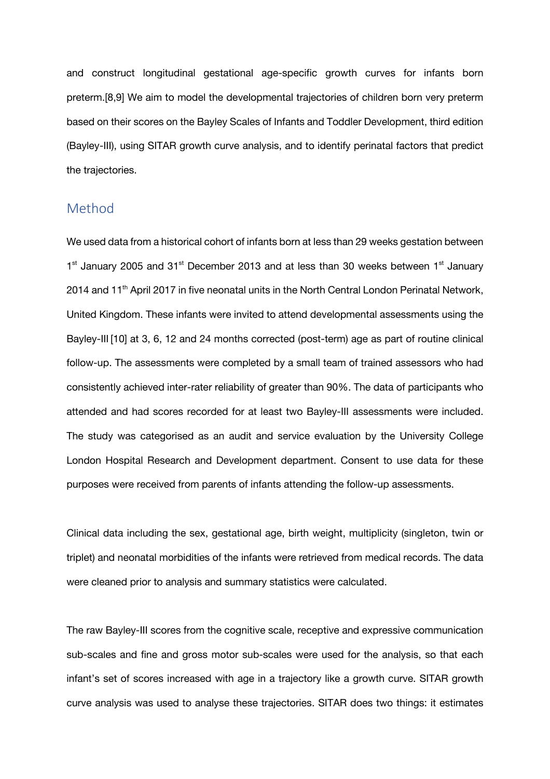and construct longitudinal gestational age-specific growth curves for infants born preterm.[8,9] We aim to model the developmental trajectories of children born very preterm based on their scores on the Bayley Scales of Infants and Toddler Development, third edition (Bayley-III), using SITAR growth curve analysis, and to identify perinatal factors that predict the trajectories.

## Method

We used data from a historical cohort of infants born at less than 29 weeks gestation between  $1<sup>st</sup>$  January 2005 and 31 $<sup>st</sup>$  December 2013 and at less than 30 weeks between  $1<sup>st</sup>$  January</sup>  $2014$  and  $11<sup>th</sup>$  April 2017 in five neonatal units in the North Central London Perinatal Network, United Kingdom. These infants were invited to attend developmental assessments using the Bayley-III [10] at 3, 6, 12 and 24 months corrected (post-term) age as part of routine clinical follow-up. The assessments were completed by a small team of trained assessors who had consistently achieved inter-rater reliability of greater than 90%. The data of participants who attended and had scores recorded for at least two Bayley-III assessments were included. The study was categorised as an audit and service evaluation by the University College London Hospital Research and Development department. Consent to use data for these purposes were received from parents of infants attending the follow-up assessments.

Clinical data including the sex, gestational age, birth weight, multiplicity (singleton, twin or triplet) and neonatal morbidities of the infants were retrieved from medical records. The data were cleaned prior to analysis and summary statistics were calculated.

The raw Bayley-III scores from the cognitive scale, receptive and expressive communication sub-scales and fine and gross motor sub-scales were used for the analysis, so that each infant's set of scores increased with age in a trajectory like a growth curve. SITAR growth curve analysis was used to analyse these trajectories. SITAR does two things: it estimates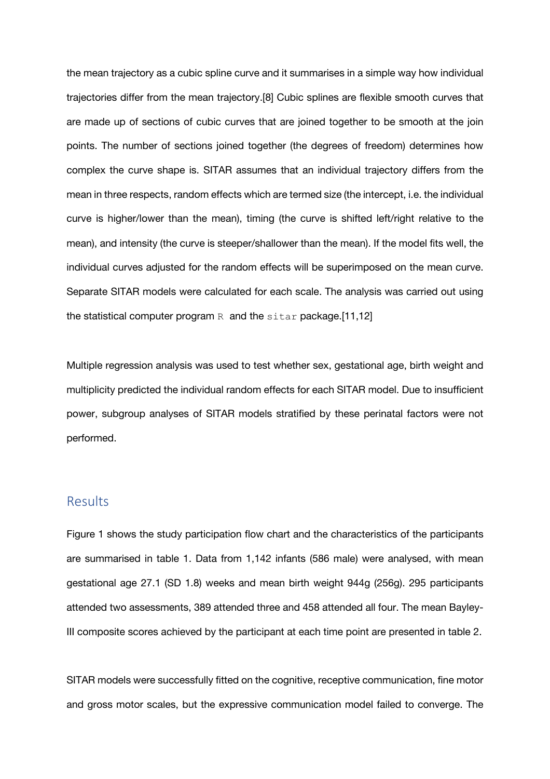the mean trajectory as a cubic spline curve and it summarises in a simple way how individual trajectories differ from the mean trajectory.[8] Cubic splines are flexible smooth curves that are made up of sections of cubic curves that are joined together to be smooth at the join points. The number of sections joined together (the degrees of freedom) determines how complex the curve shape is. SITAR assumes that an individual trajectory differs from the mean in three respects, random effects which are termed size (the intercept, i.e. the individual curve is higher/lower than the mean), timing (the curve is shifted left/right relative to the mean), and intensity (the curve is steeper/shallower than the mean). If the model fits well, the individual curves adjusted for the random effects will be superimposed on the mean curve. Separate SITAR models were calculated for each scale. The analysis was carried out using the statistical computer program  $R$  and the sitar package. [11,12]

Multiple regression analysis was used to test whether sex, gestational age, birth weight and multiplicity predicted the individual random effects for each SITAR model. Due to insufficient power, subgroup analyses of SITAR models stratified by these perinatal factors were not performed.

## Results

Figure 1 shows the study participation flow chart and the characteristics of the participants are summarised in table 1. Data from 1,142 infants (586 male) were analysed, with mean gestational age 27.1 (SD 1.8) weeks and mean birth weight 944g (256g). 295 participants attended two assessments, 389 attended three and 458 attended all four. The mean Bayley-III composite scores achieved by the participant at each time point are presented in table 2.

SITAR models were successfully fitted on the cognitive, receptive communication, fine motor and gross motor scales, but the expressive communication model failed to converge. The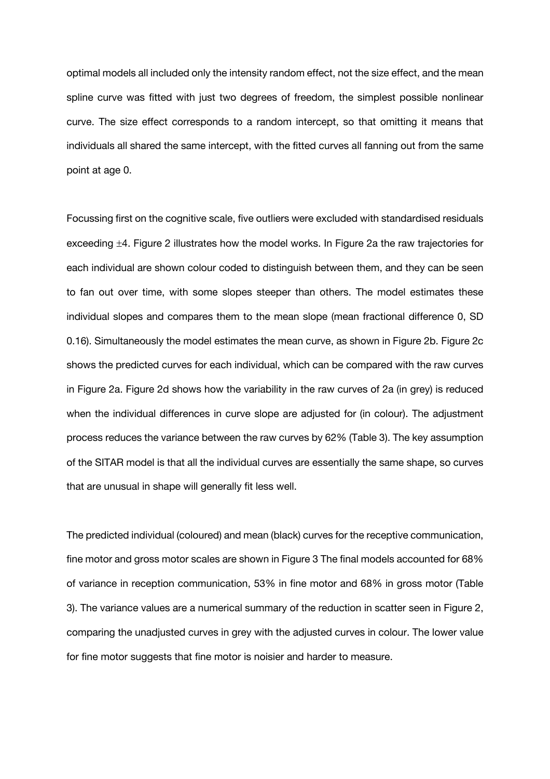optimal models all included only the intensity random effect, not the size effect, and the mean spline curve was fitted with just two degrees of freedom, the simplest possible nonlinear curve. The size effect corresponds to a random intercept, so that omitting it means that individuals all shared the same intercept, with the fitted curves all fanning out from the same point at age 0.

Focussing first on the cognitive scale, five outliers were excluded with standardised residuals exceeding ±4. Figure 2 illustrates how the model works. In Figure 2a the raw trajectories for each individual are shown colour coded to distinguish between them, and they can be seen to fan out over time, with some slopes steeper than others. The model estimates these individual slopes and compares them to the mean slope (mean fractional difference 0, SD 0.16). Simultaneously the model estimates the mean curve, as shown in Figure 2b. Figure 2c shows the predicted curves for each individual, which can be compared with the raw curves in Figure 2a. Figure 2d shows how the variability in the raw curves of 2a (in grey) is reduced when the individual differences in curve slope are adjusted for (in colour). The adjustment process reduces the variance between the raw curves by 62% (Table 3). The key assumption of the SITAR model is that all the individual curves are essentially the same shape, so curves that are unusual in shape will generally fit less well.

The predicted individual (coloured) and mean (black) curves for the receptive communication, fine motor and gross motor scales are shown in Figure 3 The final models accounted for 68% of variance in reception communication, 53% in fine motor and 68% in gross motor (Table 3). The variance values are a numerical summary of the reduction in scatter seen in Figure 2, comparing the unadjusted curves in grey with the adjusted curves in colour. The lower value for fine motor suggests that fine motor is noisier and harder to measure.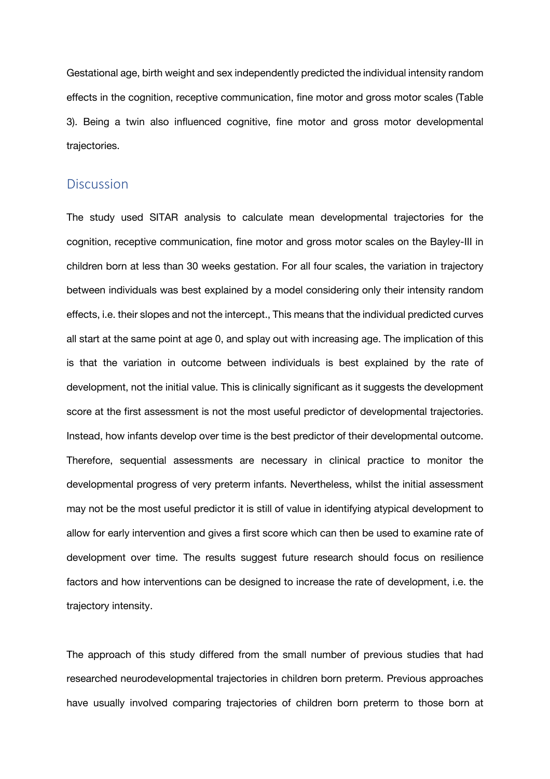Gestational age, birth weight and sex independently predicted the individual intensity random effects in the cognition, receptive communication, fine motor and gross motor scales (Table 3). Being a twin also influenced cognitive, fine motor and gross motor developmental trajectories.

#### **Discussion**

The study used SITAR analysis to calculate mean developmental trajectories for the cognition, receptive communication, fine motor and gross motor scales on the Bayley-III in children born at less than 30 weeks gestation. For all four scales, the variation in trajectory between individuals was best explained by a model considering only their intensity random effects, i.e. their slopes and not the intercept., This means that the individual predicted curves all start at the same point at age 0, and splay out with increasing age. The implication of this is that the variation in outcome between individuals is best explained by the rate of development, not the initial value. This is clinically significant as it suggests the development score at the first assessment is not the most useful predictor of developmental trajectories. Instead, how infants develop over time is the best predictor of their developmental outcome. Therefore, sequential assessments are necessary in clinical practice to monitor the developmental progress of very preterm infants. Nevertheless, whilst the initial assessment may not be the most useful predictor it is still of value in identifying atypical development to allow for early intervention and gives a first score which can then be used to examine rate of development over time. The results suggest future research should focus on resilience factors and how interventions can be designed to increase the rate of development, i.e. the trajectory intensity.

The approach of this study differed from the small number of previous studies that had researched neurodevelopmental trajectories in children born preterm. Previous approaches have usually involved comparing trajectories of children born preterm to those born at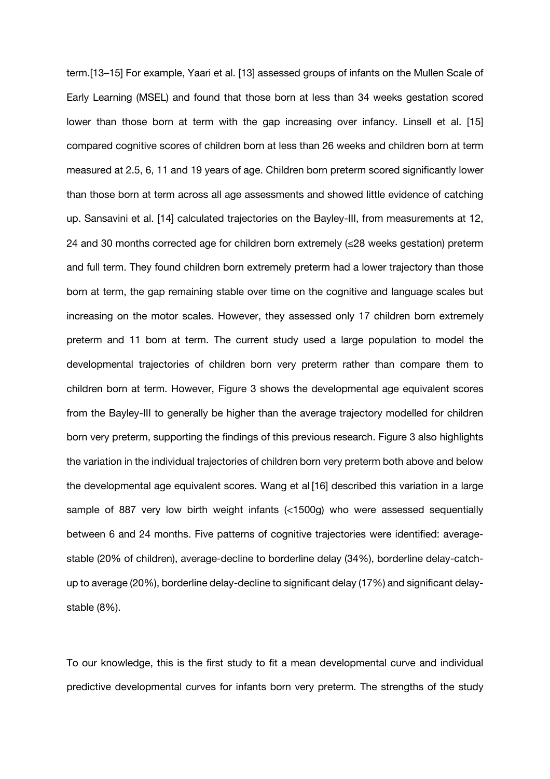term.[13–15] For example, Yaari et al. [13] assessed groups of infants on the Mullen Scale of Early Learning (MSEL) and found that those born at less than 34 weeks gestation scored lower than those born at term with the gap increasing over infancy. Linsell et al. [15] compared cognitive scores of children born at less than 26 weeks and children born at term measured at 2.5, 6, 11 and 19 years of age. Children born preterm scored significantly lower than those born at term across all age assessments and showed little evidence of catching up. Sansavini et al. [14] calculated trajectories on the Bayley-III, from measurements at 12, 24 and 30 months corrected age for children born extremely  $(\leq 28$  weeks gestation) preterm and full term. They found children born extremely preterm had a lower trajectory than those born at term, the gap remaining stable over time on the cognitive and language scales but increasing on the motor scales. However, they assessed only 17 children born extremely preterm and 11 born at term. The current study used a large population to model the developmental trajectories of children born very preterm rather than compare them to children born at term. However, Figure 3 shows the developmental age equivalent scores from the Bayley-III to generally be higher than the average trajectory modelled for children born very preterm, supporting the findings of this previous research. Figure 3 also highlights the variation in the individual trajectories of children born very preterm both above and below the developmental age equivalent scores. Wang et al [16] described this variation in a large sample of 887 very low birth weight infants (<1500g) who were assessed sequentially between 6 and 24 months. Five patterns of cognitive trajectories were identified: averagestable (20% of children), average-decline to borderline delay (34%), borderline delay-catchup to average (20%), borderline delay-decline to significant delay (17%) and significant delaystable (8%).

To our knowledge, this is the first study to fit a mean developmental curve and individual predictive developmental curves for infants born very preterm. The strengths of the study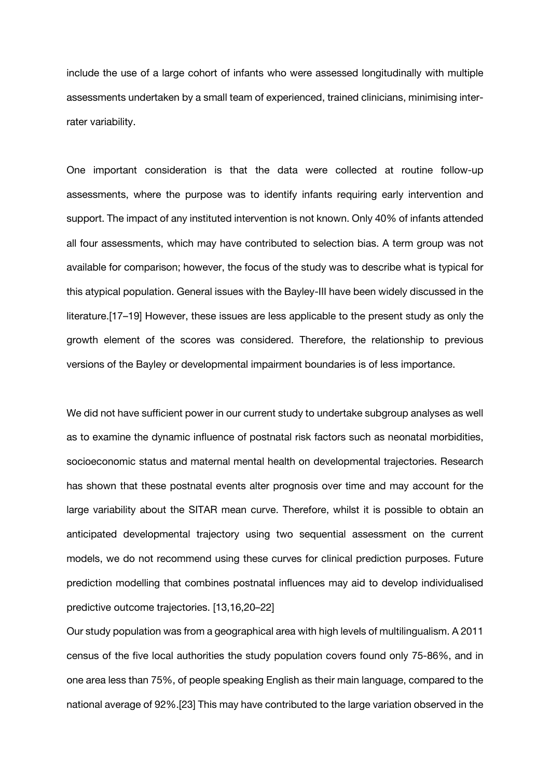include the use of a large cohort of infants who were assessed longitudinally with multiple assessments undertaken by a small team of experienced, trained clinicians, minimising interrater variability.

One important consideration is that the data were collected at routine follow-up assessments, where the purpose was to identify infants requiring early intervention and support. The impact of any instituted intervention is not known. Only 40% of infants attended all four assessments, which may have contributed to selection bias. A term group was not available for comparison; however, the focus of the study was to describe what is typical for this atypical population. General issues with the Bayley-III have been widely discussed in the literature.[17–19] However, these issues are less applicable to the present study as only the growth element of the scores was considered. Therefore, the relationship to previous versions of the Bayley or developmental impairment boundaries is of less importance.

We did not have sufficient power in our current study to undertake subgroup analyses as well as to examine the dynamic influence of postnatal risk factors such as neonatal morbidities, socioeconomic status and maternal mental health on developmental trajectories. Research has shown that these postnatal events alter prognosis over time and may account for the large variability about the SITAR mean curve. Therefore, whilst it is possible to obtain an anticipated developmental trajectory using two sequential assessment on the current models, we do not recommend using these curves for clinical prediction purposes. Future prediction modelling that combines postnatal influences may aid to develop individualised predictive outcome trajectories. [13,16,20–22]

Our study population was from a geographical area with high levels of multilingualism. A 2011 census of the five local authorities the study population covers found only 75-86%, and in one area less than 75%, of people speaking English as their main language, compared to the national average of 92%.[23] This may have contributed to the large variation observed in the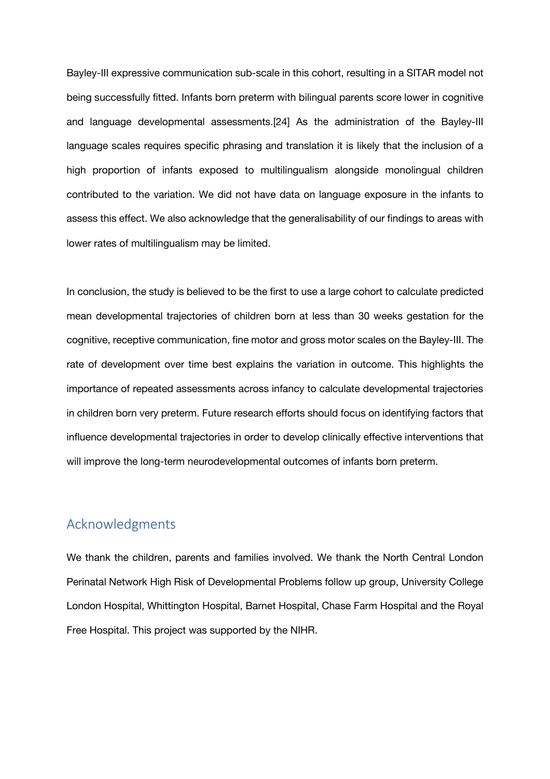Bayley-III expressive communication sub-scale in this cohort, resulting in a SITAR model not being successfully fitted. Infants born preterm with bilingual parents score lower in cognitive and language developmental assessments.[24] As the administration of the Bayley-III language scales requires specific phrasing and translation it is likely that the inclusion of a high proportion of infants exposed to multilingualism alongside monolingual children contributed to the variation. We did not have data on language exposure in the infants to assess this effect. We also acknowledge that the generalisability of our findings to areas with lower rates of multilingualism may be limited.

In conclusion, the study is believed to be the first to use a large cohort to calculate predicted mean developmental trajectories of children born at less than 30 weeks gestation for the cognitive, receptive communication, fine motor and gross motor scales on the Bayley-III. The rate of development over time best explains the variation in outcome. This highlights the importance of repeated assessments across infancy to calculate developmental trajectories in children born very preterm. Future research efforts should focus on identifying factors that influence developmental trajectories in order to develop clinically effective interventions that will improve the long-term neurodevelopmental outcomes of infants born preterm.

## Acknowledgments

We thank the children, parents and families involved. We thank the North Central London Perinatal Network High Risk of Developmental Problems follow up group, University College London Hospital, Whittington Hospital, Barnet Hospital, Chase Farm Hospital and the Royal Free Hospital. This project was supported by the NIHR.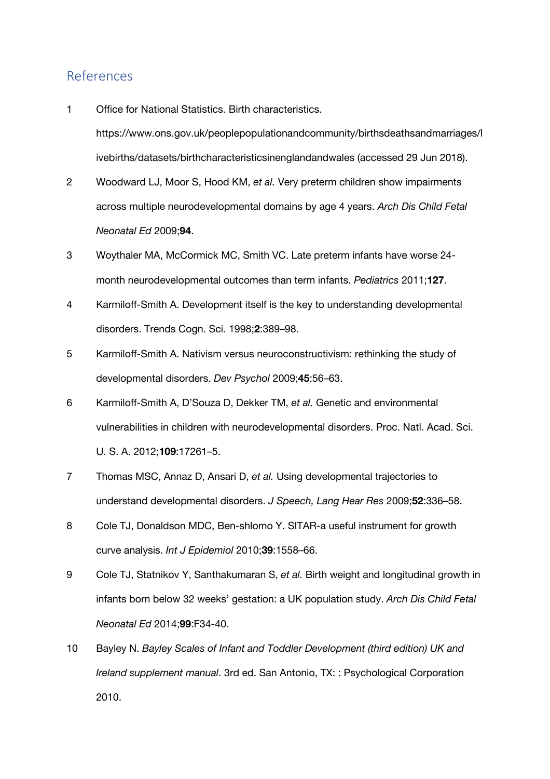## References

- 1 Office for National Statistics. Birth characteristics. https://www.ons.gov.uk/peoplepopulationandcommunity/birthsdeathsandmarriages/l ivebirths/datasets/birthcharacteristicsinenglandandwales (accessed 29 Jun 2018).
- 2 Woodward LJ, Moor S, Hood KM, *et al.* Very preterm children show impairments across multiple neurodevelopmental domains by age 4 years. *Arch Dis Child Fetal Neonatal Ed* 2009;**94**.
- 3 Woythaler MA, McCormick MC, Smith VC. Late preterm infants have worse 24 month neurodevelopmental outcomes than term infants. *Pediatrics* 2011;**127**.
- 4 Karmiloff-Smith A. Development itself is the key to understanding developmental disorders. Trends Cogn. Sci. 1998;**2**:389–98.
- 5 Karmiloff-Smith A. Nativism versus neuroconstructivism: rethinking the study of developmental disorders. *Dev Psychol* 2009;**45**:56–63.
- 6 Karmiloff-Smith A, D'Souza D, Dekker TM, *et al.* Genetic and environmental vulnerabilities in children with neurodevelopmental disorders. Proc. Natl. Acad. Sci. U. S. A. 2012;**109**:17261–5.
- 7 Thomas MSC, Annaz D, Ansari D, *et al.* Using developmental trajectories to understand developmental disorders. *J Speech, Lang Hear Res* 2009;**52**:336–58.
- 8 Cole TJ, Donaldson MDC, Ben-shlomo Y. SITAR-a useful instrument for growth curve analysis. *Int J Epidemiol* 2010;**39**:1558–66.
- 9 Cole TJ, Statnikov Y, Santhakumaran S, *et al.* Birth weight and longitudinal growth in infants born below 32 weeks' gestation: a UK population study. *Arch Dis Child Fetal Neonatal Ed* 2014;**99**:F34-40.
- 10 Bayley N. *Bayley Scales of Infant and Toddler Development (third edition) UK and Ireland supplement manual*. 3rd ed. San Antonio, TX: : Psychological Corporation 2010.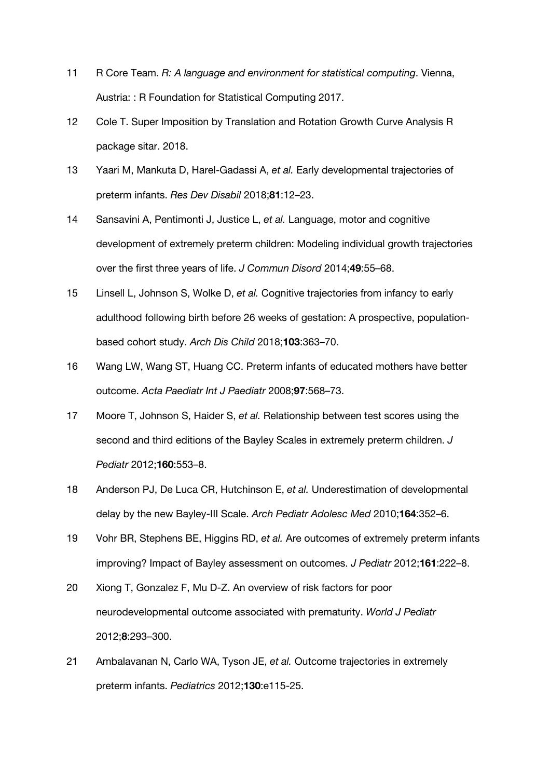- 11 R Core Team. *R: A language and environment for statistical computing*. Vienna, Austria: : R Foundation for Statistical Computing 2017.
- 12 Cole T. Super Imposition by Translation and Rotation Growth Curve Analysis R package sitar. 2018.
- 13 Yaari M, Mankuta D, Harel-Gadassi A, *et al.* Early developmental trajectories of preterm infants. *Res Dev Disabil* 2018;**81**:12–23.
- 14 Sansavini A, Pentimonti J, Justice L, *et al.* Language, motor and cognitive development of extremely preterm children: Modeling individual growth trajectories over the first three years of life. *J Commun Disord* 2014;**49**:55–68.
- 15 Linsell L, Johnson S, Wolke D, *et al.* Cognitive trajectories from infancy to early adulthood following birth before 26 weeks of gestation: A prospective, populationbased cohort study. *Arch Dis Child* 2018;**103**:363–70.
- 16 Wang LW, Wang ST, Huang CC. Preterm infants of educated mothers have better outcome. *Acta Paediatr Int J Paediatr* 2008;**97**:568–73.
- 17 Moore T, Johnson S, Haider S, *et al.* Relationship between test scores using the second and third editions of the Bayley Scales in extremely preterm children. *J Pediatr* 2012;**160**:553–8.
- 18 Anderson PJ, De Luca CR, Hutchinson E, *et al.* Underestimation of developmental delay by the new Bayley-III Scale. *Arch Pediatr Adolesc Med* 2010;**164**:352–6.
- 19 Vohr BR, Stephens BE, Higgins RD, *et al.* Are outcomes of extremely preterm infants improving? Impact of Bayley assessment on outcomes. *J Pediatr* 2012;**161**:222–8.
- 20 Xiong T, Gonzalez F, Mu D-Z. An overview of risk factors for poor neurodevelopmental outcome associated with prematurity. *World J Pediatr* 2012;**8**:293–300.
- 21 Ambalavanan N, Carlo WA, Tyson JE, *et al.* Outcome trajectories in extremely preterm infants. *Pediatrics* 2012;**130**:e115-25.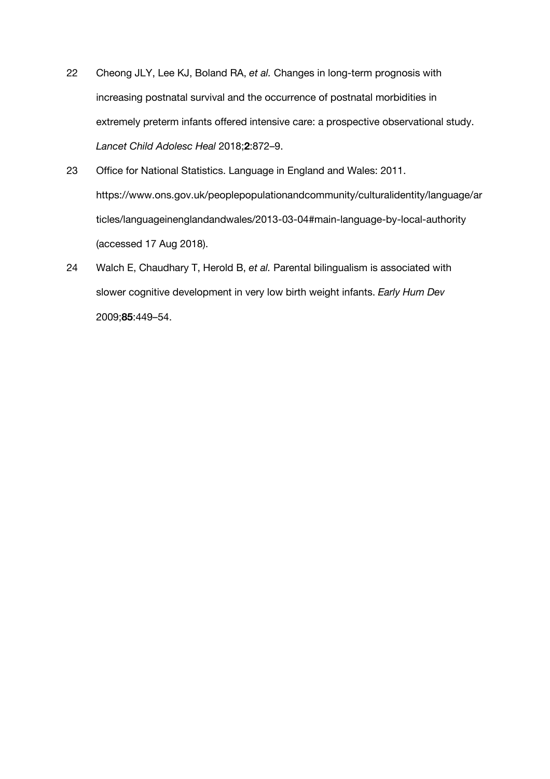- 22 Cheong JLY, Lee KJ, Boland RA, *et al.* Changes in long-term prognosis with increasing postnatal survival and the occurrence of postnatal morbidities in extremely preterm infants offered intensive care: a prospective observational study. *Lancet Child Adolesc Heal* 2018;**2**:872–9.
- 23 Office for National Statistics. Language in England and Wales: 2011. https://www.ons.gov.uk/peoplepopulationandcommunity/culturalidentity/language/ar ticles/languageinenglandandwales/2013-03-04#main-language-by-local-authority (accessed 17 Aug 2018).
- 24 Walch E, Chaudhary T, Herold B, *et al.* Parental bilingualism is associated with slower cognitive development in very low birth weight infants. *Early Hum Dev* 2009;**85**:449–54.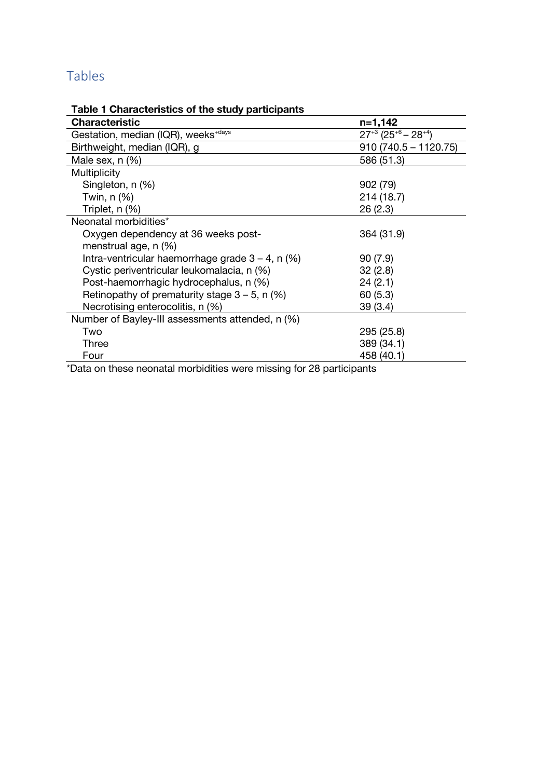## Tables

## **Table 1 Characteristics of the study participants**

| <b>Characteristic</b>                               | n=1,142                                          |
|-----------------------------------------------------|--------------------------------------------------|
| Gestation, median (IQR), weeks <sup>+days</sup>     | $27^{+3}$ (25 <sup>+6</sup> – 28 <sup>+4</sup> ) |
| Birthweight, median (IQR), g                        | $910(740.5 - 1120.75)$                           |
| Male sex, $n$ $(\%)$                                | 586 (51.3)                                       |
| <b>Multiplicity</b>                                 |                                                  |
| Singleton, n (%)                                    | 902 (79)                                         |
| Twin, $n$ $(\%)$                                    | 214 (18.7)                                       |
| Triplet, n (%)                                      | 26 (2.3)                                         |
| Neonatal morbidities*                               |                                                  |
| Oxygen dependency at 36 weeks post-                 | 364 (31.9)                                       |
| menstrual age, n (%)                                |                                                  |
| Intra-ventricular haemorrhage grade $3 - 4$ , n (%) | 90(7.9)                                          |
| Cystic periventricular leukomalacia, n (%)          | 32(2.8)                                          |
| Post-haemorrhagic hydrocephalus, n (%)              | 24(2.1)                                          |
| Retinopathy of prematurity stage $3 - 5$ , n (%)    | 60(5.3)                                          |
| Necrotising enterocolitis, n (%)                    | 39 (3.4)                                         |
| Number of Bayley-III assessments attended, n (%)    |                                                  |
| Two                                                 | 295 (25.8)                                       |
| Three                                               | 389 (34.1)                                       |
| Four                                                | 458 (40.1)                                       |

\*Data on these neonatal morbidities were missing for 28 participants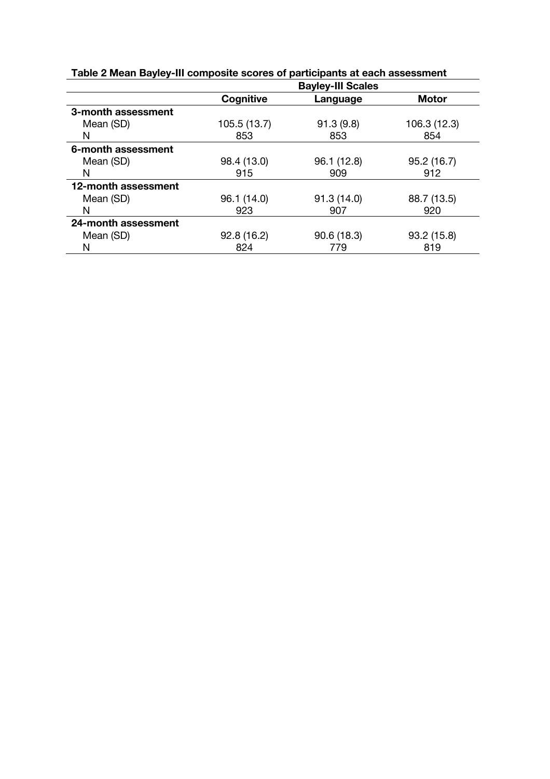|                     |              | <b>Bayley-III Scales</b> |              |
|---------------------|--------------|--------------------------|--------------|
|                     | Cognitive    | Language                 | <b>Motor</b> |
| 3-month assessment  |              |                          |              |
| Mean (SD)           | 105.5 (13.7) | 91.3(9.8)                | 106.3 (12.3) |
| N                   | 853          | 853                      | 854          |
| 6-month assessment  |              |                          |              |
| Mean (SD)           | 98.4 (13.0)  | 96.1 (12.8)              | 95.2(16.7)   |
| N                   | 915          | 909                      | 912          |
| 12-month assessment |              |                          |              |
| Mean (SD)           | 96.1 (14.0)  | 91.3(14.0)               | 88.7 (13.5)  |
| N                   | 923          | 907                      | 920          |
| 24-month assessment |              |                          |              |
| Mean (SD)           | 92.8(16.2)   | 90.6(18.3)               | 93.2(15.8)   |
| N                   | 824          | 779                      | 819          |

**Table 2 Mean Bayley-III composite scores of participants at each assessment**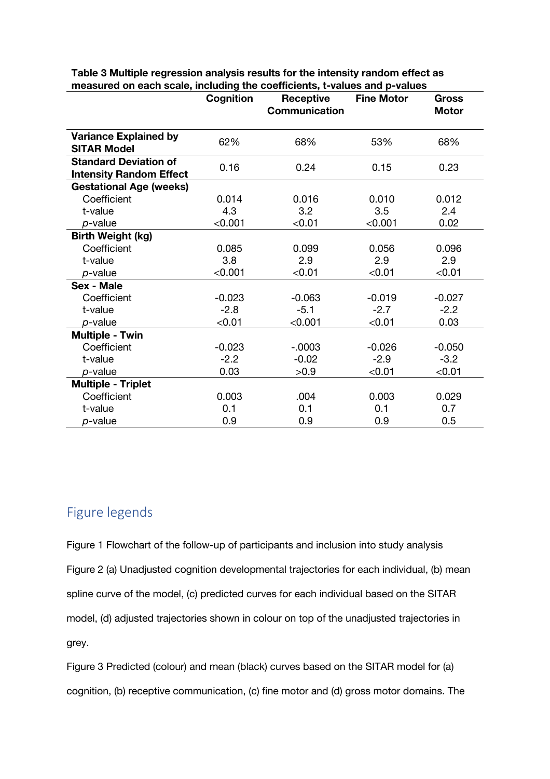|                                                                | Cognition | <b>Receptive</b><br><b>Communication</b> | <b>Fine Motor</b> | Gross<br><b>Motor</b> |
|----------------------------------------------------------------|-----------|------------------------------------------|-------------------|-----------------------|
| <b>Variance Explained by</b><br><b>SITAR Model</b>             | 62%       | 68%                                      | 53%               | 68%                   |
| <b>Standard Deviation of</b><br><b>Intensity Random Effect</b> | 0.16      | 0.24                                     | 0.15              | 0.23                  |
| <b>Gestational Age (weeks)</b>                                 |           |                                          |                   |                       |
| Coefficient                                                    | 0.014     | 0.016                                    | 0.010             | 0.012                 |
| t-value                                                        | 4.3       | 3.2                                      | 3.5               | 2.4                   |
| $p$ -value                                                     | < 0.001   | < 0.01                                   | < 0.001           | 0.02                  |
| <b>Birth Weight (kg)</b>                                       |           |                                          |                   |                       |
| Coefficient                                                    | 0.085     | 0.099                                    | 0.056             | 0.096                 |
| t-value                                                        | 3.8       | 2.9                                      | 2.9               | 2.9                   |
| $p$ -value                                                     | < 0.001   | < 0.01                                   | < 0.01            | < 0.01                |
| <b>Sex - Male</b>                                              |           |                                          |                   |                       |
| Coefficient                                                    | $-0.023$  | $-0.063$                                 | $-0.019$          | $-0.027$              |
| t-value                                                        | $-2.8$    | $-5.1$                                   | $-2.7$            | $-2.2$                |
| $p$ -value                                                     | < 0.01    | < 0.001                                  | < 0.01            | 0.03                  |
| <b>Multiple - Twin</b>                                         |           |                                          |                   |                       |
| Coefficient                                                    | $-0.023$  | $-0.0003$                                | $-0.026$          | $-0.050$              |
| t-value                                                        | $-2.2$    | $-0.02$                                  | $-2.9$            | $-3.2$                |
| $p$ -value                                                     | 0.03      | >0.9                                     | < 0.01            | < 0.01                |
| <b>Multiple - Triplet</b>                                      |           |                                          |                   |                       |
| Coefficient                                                    | 0.003     | .004                                     | 0.003             | 0.029                 |
| t-value                                                        | 0.1       | 0.1                                      | 0.1               | 0.7                   |
| $p$ -value                                                     | 0.9       | 0.9                                      | 0.9               | 0.5                   |

**Table 3 Multiple regression analysis results for the intensity random effect as measured on each scale, including the coefficients, t-values and p-values**

## Figure legends

Figure 1 Flowchart of the follow-up of participants and inclusion into study analysis Figure 2 (a) Unadjusted cognition developmental trajectories for each individual, (b) mean spline curve of the model, (c) predicted curves for each individual based on the SITAR model, (d) adjusted trajectories shown in colour on top of the unadjusted trajectories in grey.

Figure 3 Predicted (colour) and mean (black) curves based on the SITAR model for (a) cognition, (b) receptive communication, (c) fine motor and (d) gross motor domains. The